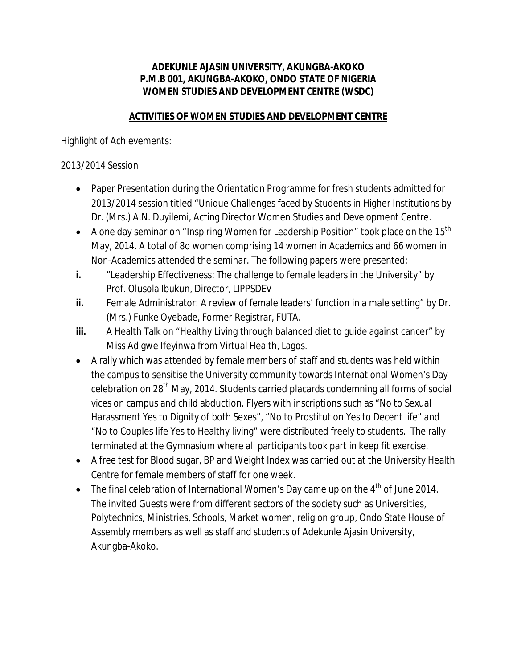## **ADEKUNLE AJASIN UNIVERSITY, AKUNGBA-AKOKO P.M.B 001, AKUNGBA-AKOKO, ONDO STATE OF NIGERIA** *WOMEN STUDIES AND DEVELOPMENT CENTRE (WSDC)*

## **ACTIVITIES OF WOMEN STUDIES AND DEVELOPMENT CENTRE**

Highlight of Achievements:

## 2013/2014 Session

- Paper Presentation during the Orientation Programme for fresh students admitted for 2013/2014 session titled "Unique Challenges faced by Students in Higher Institutions by Dr. (Mrs.) A.N. Duyilemi, Acting Director Women Studies and Development Centre.
- A one day seminar on "Inspiring Women for Leadership Position" took place on the 15<sup>th</sup> May, 2014. A total of 8o women comprising 14 women in Academics and 66 women in Non-Academics attended the seminar. The following papers were presented:
- **i.** "Leadership Effectiveness: The challenge to female leaders in the University" by Prof. Olusola Ibukun, Director, LIPPSDEV
- **ii.** Female Administrator: A review of female leaders' function in a male setting" by Dr. (Mrs.) Funke Oyebade, Former Registrar, FUTA.
- **iii.** A Health Talk on "Healthy Living through balanced diet to guide against cancer" by Miss Adigwe Ifeyinwa from Virtual Health, Lagos.
- A rally which was attended by female members of staff and students was held within the campus to sensitise the University community towards International Women's Day celebration on 28<sup>th</sup> May, 2014. Students carried placards condemning all forms of social vices on campus and child abduction. Flyers with inscriptions such as "No to Sexual Harassment Yes to Dignity of both Sexes", "No to Prostitution Yes to Decent life" and "No to Couples life Yes to Healthy living" were distributed freely to students. The rally terminated at the Gymnasium where all participants took part in keep fit exercise.
- A free test for Blood sugar, BP and Weight Index was carried out at the University Health Centre for female members of staff for one week.
- The final celebration of International Women's Day came up on the  $4<sup>th</sup>$  of June 2014. The invited Guests were from different sectors of the society such as Universities, Polytechnics, Ministries, Schools, Market women, religion group, Ondo State House of Assembly members as well as staff and students of Adekunle Ajasin University, Akungba-Akoko.